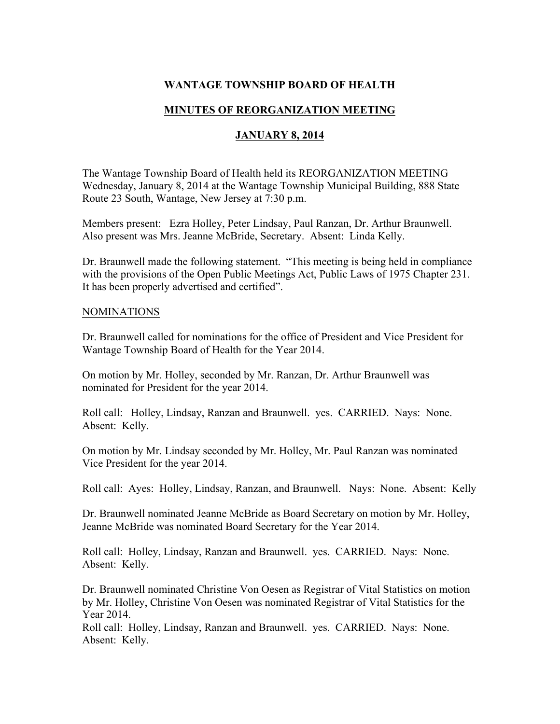## **WANTAGE TOWNSHIP BOARD OF HEALTH**

## **MINUTES OF REORGANIZATION MEETING**

### **JANUARY 8, 2014**

The Wantage Township Board of Health held its REORGANIZATION MEETING Wednesday, January 8, 2014 at the Wantage Township Municipal Building, 888 State Route 23 South, Wantage, New Jersey at 7:30 p.m.

Members present: Ezra Holley, Peter Lindsay, Paul Ranzan, Dr. Arthur Braunwell. Also present was Mrs. Jeanne McBride, Secretary. Absent: Linda Kelly.

Dr. Braunwell made the following statement. "This meeting is being held in compliance with the provisions of the Open Public Meetings Act, Public Laws of 1975 Chapter 231. It has been properly advertised and certified".

#### NOMINATIONS

Dr. Braunwell called for nominations for the office of President and Vice President for Wantage Township Board of Health for the Year 2014.

On motion by Mr. Holley, seconded by Mr. Ranzan, Dr. Arthur Braunwell was nominated for President for the year 2014.

Roll call: Holley, Lindsay, Ranzan and Braunwell. yes. CARRIED. Nays: None. Absent: Kelly.

On motion by Mr. Lindsay seconded by Mr. Holley, Mr. Paul Ranzan was nominated Vice President for the year 2014.

Roll call: Ayes: Holley, Lindsay, Ranzan, and Braunwell. Nays: None. Absent: Kelly

Dr. Braunwell nominated Jeanne McBride as Board Secretary on motion by Mr. Holley, Jeanne McBride was nominated Board Secretary for the Year 2014.

Roll call: Holley, Lindsay, Ranzan and Braunwell. yes. CARRIED. Nays: None. Absent: Kelly.

Dr. Braunwell nominated Christine Von Oesen as Registrar of Vital Statistics on motion by Mr. Holley, Christine Von Oesen was nominated Registrar of Vital Statistics for the Year 2014.

Roll call: Holley, Lindsay, Ranzan and Braunwell. yes. CARRIED. Nays: None. Absent: Kelly.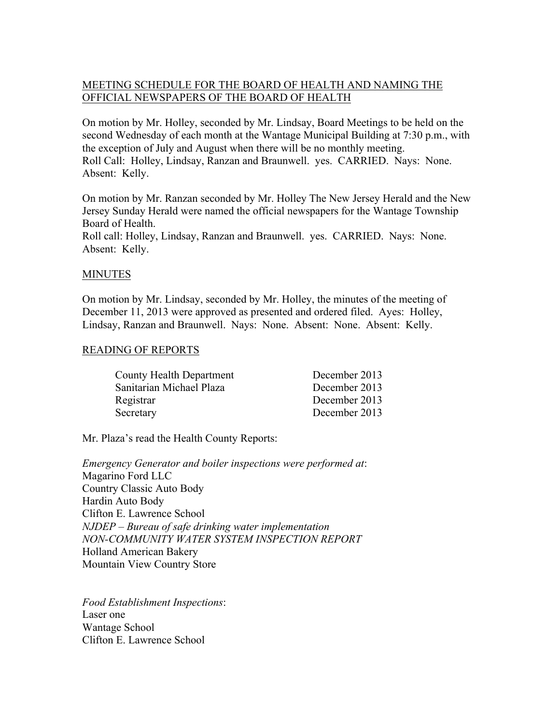# MEETING SCHEDULE FOR THE BOARD OF HEALTH AND NAMING THE OFFICIAL NEWSPAPERS OF THE BOARD OF HEALTH

On motion by Mr. Holley, seconded by Mr. Lindsay, Board Meetings to be held on the second Wednesday of each month at the Wantage Municipal Building at 7:30 p.m., with the exception of July and August when there will be no monthly meeting. Roll Call: Holley, Lindsay, Ranzan and Braunwell. yes. CARRIED. Nays: None. Absent: Kelly.

On motion by Mr. Ranzan seconded by Mr. Holley The New Jersey Herald and the New Jersey Sunday Herald were named the official newspapers for the Wantage Township Board of Health.

Roll call: Holley, Lindsay, Ranzan and Braunwell. yes. CARRIED. Nays: None. Absent: Kelly.

### MINUTES

On motion by Mr. Lindsay, seconded by Mr. Holley, the minutes of the meeting of December 11, 2013 were approved as presented and ordered filed. Ayes: Holley, Lindsay, Ranzan and Braunwell. Nays: None. Absent: None. Absent: Kelly.

### READING OF REPORTS

| County Health Department | December 2013 |
|--------------------------|---------------|
| Sanitarian Michael Plaza | December 2013 |
| Registrar                | December 2013 |
| Secretary                | December 2013 |

Mr. Plaza's read the Health County Reports:

*Emergency Generator and boiler inspections were performed at*: Magarino Ford LLC Country Classic Auto Body Hardin Auto Body Clifton E. Lawrence School *NJDEP – Bureau of safe drinking water implementation NON-COMMUNITY WATER SYSTEM INSPECTION REPORT* Holland American Bakery Mountain View Country Store

*Food Establishment Inspections*: Laser one Wantage School Clifton E. Lawrence School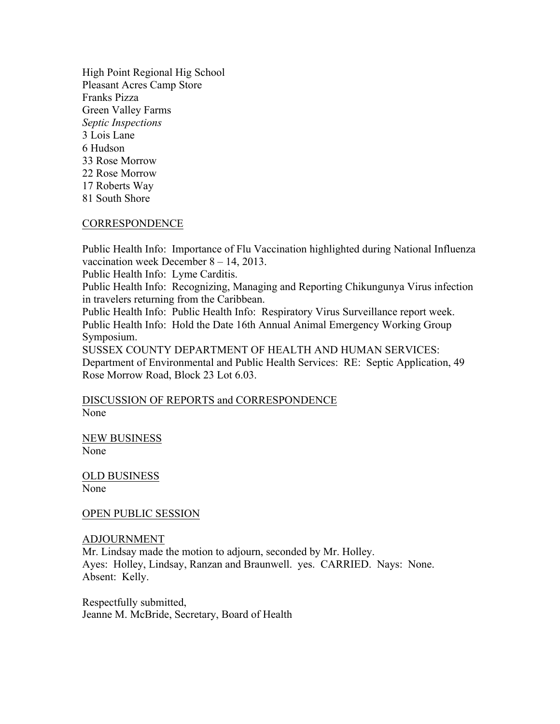High Point Regional Hig School Pleasant Acres Camp Store Franks Pizza Green Valley Farms *Septic Inspections* 3 Lois Lane 6 Hudson 33 Rose Morrow 22 Rose Morrow 17 Roberts Way 81 South Shore

#### CORRESPONDENCE

Public Health Info: Importance of Flu Vaccination highlighted during National Influenza vaccination week December 8 – 14, 2013.

Public Health Info: Lyme Carditis.

Public Health Info: Recognizing, Managing and Reporting Chikungunya Virus infection in travelers returning from the Caribbean.

Public Health Info: Public Health Info: Respiratory Virus Surveillance report week. Public Health Info: Hold the Date 16th Annual Animal Emergency Working Group Symposium.

SUSSEX COUNTY DEPARTMENT OF HEALTH AND HUMAN SERVICES: Department of Environmental and Public Health Services: RE: Septic Application, 49 Rose Morrow Road, Block 23 Lot 6.03.

### DISCUSSION OF REPORTS and CORRESPONDENCE None

NEW BUSINESS None

OLD BUSINESS None

OPEN PUBLIC SESSION

#### ADJOURNMENT

Mr. Lindsay made the motion to adjourn, seconded by Mr. Holley. Ayes: Holley, Lindsay, Ranzan and Braunwell. yes. CARRIED. Nays: None. Absent: Kelly.

Respectfully submitted, Jeanne M. McBride, Secretary, Board of Health